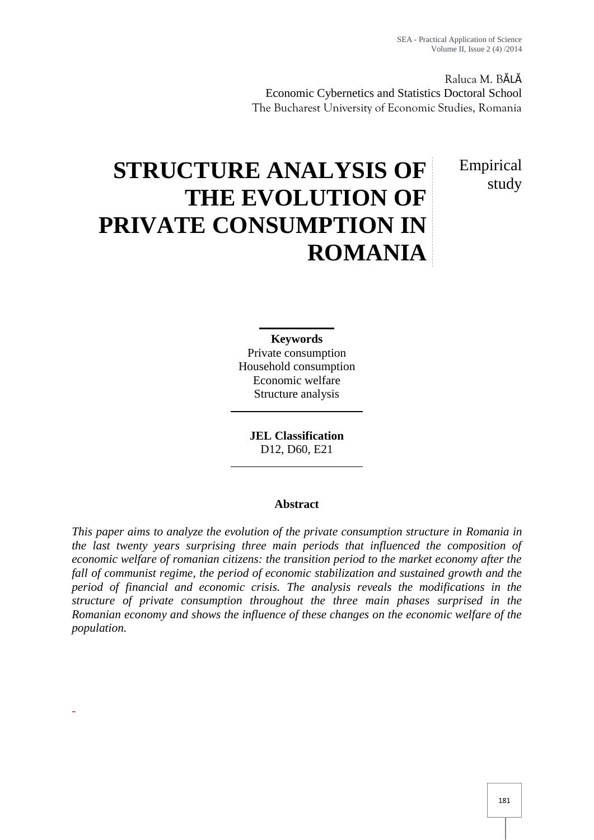Raluca M. BĂLĂ Economic Cybernetics and Statistics Doctoral School The Bucharest University of Economic Studies, Romania

> Empirical study

# **STRUCTURE ANALYSIS OF THE EVOLUTION OF PRIVATE CONSUMPTION IN ROMANIA**

**Keywords** Private consumption Household consumption Economic welfare Structure analysis

**JEL Classification** D12, D60, E21

# **Abstract**

*This paper aims to analyze the evolution of the private consumption structure in Romania in the last twenty years surprising three main periods that influenced the composition of economic welfare of romanian citizens: the transition period to the market economy after the fall of communist regime, the period of economic stabilization and sustained growth and the period of financial and economic crisis. The analysis reveals the modifications in the structure of private consumption throughout the three main phases surprised in the Romanian economy and shows the influence of these changes on the economic welfare of the population.*

-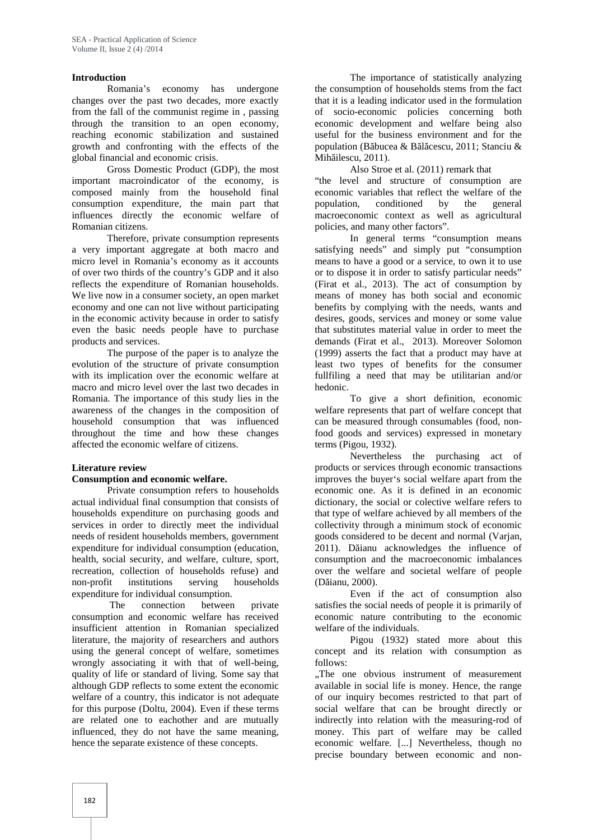#### **Introduction**

Romania's economy has undergone changes over the past two decades, more exactly from the fall of the communist regime in , passing through the transition to an open economy, reaching economic stabilization and sustained growth and confronting with the effects of the global financial and economic crisis.

Gross Domestic Product (GDP), the most important macroindicator of the economy, is composed mainly from the household final consumption expenditure, the main part that influences directly the economic welfare of Romanian citizens.

Therefore, private consumption represents a very important aggregate at both macro and micro level in Romania's economy as it accounts of over two thirds of the country's GDP and it also reflects the expenditure of Romanian households. We live now in a consumer society, an open market economy and one can not live without participating in the economic activity because in order to satisfy even the basic needs people have to purchase products and services.

The purpose of the paper is to analyze the evolution of the structure of private consumption with its implication over the economic welfare at macro and micro level over the last two decades in Romania. The importance of this study lies in the awareness of the changes in the composition of household consumption that was influenced throughout the time and how these changes affected the economic welfare of citizens.

#### **Literature review**

#### **Consumption and economic welfare.**

Private consumption refers to households actual individual final consumption that consists of households expenditure on purchasing goods and services in order to directly meet the individual needs of resident households members, government expenditure for individual consumption (education, health, social security, and welfare, culture, sport, recreation, collection of households refuse) and non-profit institutions serving households expenditure for individual consumption.

The connection between private consumption and economic welfare has received insufficient attention in Romanian specialized literature, the majority of researchers and authors using the general concept of welfare, sometimes wrongly associating it with that of well-being, quality of life or standard of living. Some say that although GDP reflects to some extent the economic welfare of a country, this indicator is not adequate for this purpose (Doltu, 2004). Even if these terms are related one to eachother and are mutually influenced, they do not have the same meaning, hence the separate existence of these concepts.

The importance of statistically analyzing the consumption of households stems from the fact that it is a leading indicator used in the formulation of socio-economic policies concerning both economic development and welfare being also useful for the business environment and for the population (B bucea & B 1 cescu, 2011; Stanciu & Mih ilescu,  $2011$ ).

Also Stroe et al. (2011) remark that

"the level and structure of consumption are economic variables that reflect the welfare of the population, conditioned by the general macroeconomic context as well as agricultural policies, and many other factors".

In general terms "consumption means satisfying needs" and simply put "consumption means to have a good or a service, to own it to use or to dispose it in order to satisfy particular needs" (Firat et al., 2013). The act of consumption by means of money has both social and economic benefits by complying with the needs, wants and desires, goods, services and money or some value that substitutes material value in order to meet the demands (Firat et al., 2013). Moreover Solomon (1999) asserts the fact that a product may have at least two types of benefits for the consumer fullfiling a need that may be utilitarian and/or hedonic.

To give a short definition, economic welfare represents that part of welfare concept that can be measured through consumables (food, nonfood goods and services) expressed in monetary terms (Pigou, 1932).

Nevertheless the purchasing act of products or services through economic transactions improves the buyer's social welfare apart from the economic one. As it is defined in an economic dictionary, the social or colective welfare refers to that type of welfare achieved by all members of the collectivity through a minimum stock of economic goods considered to be decent and normal (Varjan, 2011). D ianu acknowledges the influence of consumption and the macroeconomic imbalances over the welfare and societal welfare of people (D ianu, 2000).

Even if the act of consumption also satisfies the social needs of people it is primarily of economic nature contributing to the economic welfare of the individuals.

Pigou (1932) stated more about this concept and its relation with consumption as follows:

"The one obvious instrument of measurement" available in social life is money. Hence, the range of our inquiry becomes restricted to that part of social welfare that can be brought directly or indirectly into relation with the measuring-rod of money. This part of welfare may be called economic welfare. [...] Nevertheless, though no precise boundary between economic and non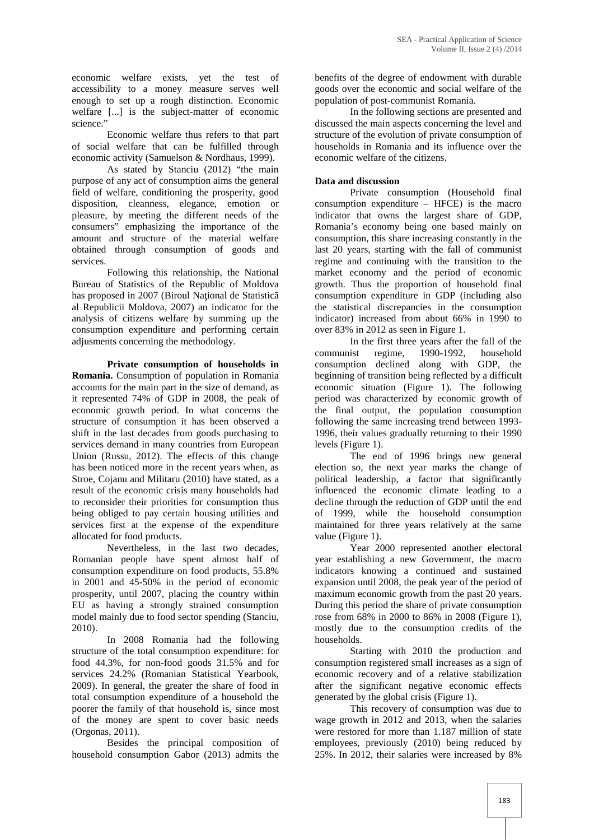economic welfare exists, yet the test of accessibility to a money measure serves well enough to set up a rough distinction. Economic welfare [...] is the subject-matter of economic science."

Economic welfare thus refers to that part of social welfare that can be fulfilled through economic activity (Samuelson & Nordhaus, 1999).

As stated by Stanciu (2012) "the main purpose of any act of consumption aims the general field of welfare, conditioning the prosperity, good disposition, cleanness, elegance, emotion or pleasure, by meeting the different needs of the consumers" emphasizing the importance of the amount and structure of the material welfare obtained through consumption of goods and services.

Following this relationship, the National Bureau of Statistics of the Republic of Moldova has proposed in 2007 (Biroul Na ional de Statistic al Republicii Moldova, 2007) an indicator for the analysis of citizens welfare by summing up the consumption expenditure and performing certain adjusments concerning the methodology.

**Private consumption of households in Romania.** Consumption of population in Romania accounts for the main part in the size of demand, as it represented 74% of GDP in 2008, the peak of economic growth period. In what concerns the structure of consumption it has been observed a shift in the last decades from goods purchasing to services demand in many countries from European Union (Russu, 2012). The effects of this change has been noticed more in the recent years when, as Stroe, Cojanu and Militaru (2010) have stated, as a result of the economic crisis many households had to reconsider their priorities for consumption thus being obliged to pay certain housing utilities and services first at the expense of the expenditure allocated for food products.

Nevertheless, in the last two decades, Romanian people have spent almost half of consumption expenditure on food products, 55.8% in 2001 and 45-50% in the period of economic prosperity, until 2007, placing the country within EU as having a strongly strained consumption model mainly due to food sector spending (Stanciu, 2010).

In 2008 Romania had the following structure of the total consumption expenditure: for food 44.3%, for non-food goods 31.5% and for services 24.2% (Romanian Statistical Yearbook, 2009). In general, the greater the share of food in total consumption expenditure of a household the poorer the family of that household is, since most of the money are spent to cover basic needs (Orgonas, 2011).

Besides the principal composition of household consumption Gabor (2013) admits the

benefits of the degree of endowment with durable goods over the economic and social welfare of the population of post-communist Romania.

In the following sections are presented and discussed the main aspects concerning the level and structure of the evolution of private consumption of households in Romania and its influence over the economic welfare of the citizens.

#### **Data and discussion**

Private consumption (Household final consumption expenditure – HFCE) is the macro indicator that owns the largest share of GDP, Romania's economy being one based mainly on consumption, this share increasing constantly in the last 20 years, starting with the fall of communist regime and continuing with the transition to the market economy and the period of economic growth. Thus the proportion of household final consumption expenditure in GDP (including also the statistical discrepancies in the consumption indicator) increased from about 66% in 1990 to over 83% in 2012 as seen in Figure 1.

In the first three years after the fall of the communist regime, 1990-1992, household consumption declined along with GDP, the beginning of transition being reflected by a difficult economic situation (Figure 1). The following period was characterized by economic growth of the final output, the population consumption following the same increasing trend between 1993- 1996, their values gradually returning to their 1990 levels (Figure 1).

The end of 1996 brings new general election so, the next year marks the change of political leadership, a factor that significantly influenced the economic climate leading to a decline through the reduction of GDP until the end of 1999, while the household consumption maintained for three years relatively at the same value (Figure 1).

Year 2000 represented another electoral year establishing a new Government, the macro indicators knowing a continued and sustained expansion until 2008, the peak year of the period of maximum economic growth from the past 20 years. During this period the share of private consumption rose from 68% in 2000 to 86% in 2008 (Figure 1), mostly due to the consumption credits of the households.

Starting with 2010 the production and consumption registered small increases as a sign of economic recovery and of a relative stabilization after the significant negative economic effects generated by the global crisis (Figure 1).

This recovery of consumption was due to wage growth in 2012 and 2013, when the salaries were restored for more than 1.187 million of state employees, previously (2010) being reduced by 25%. In 2012, their salaries were increased by 8%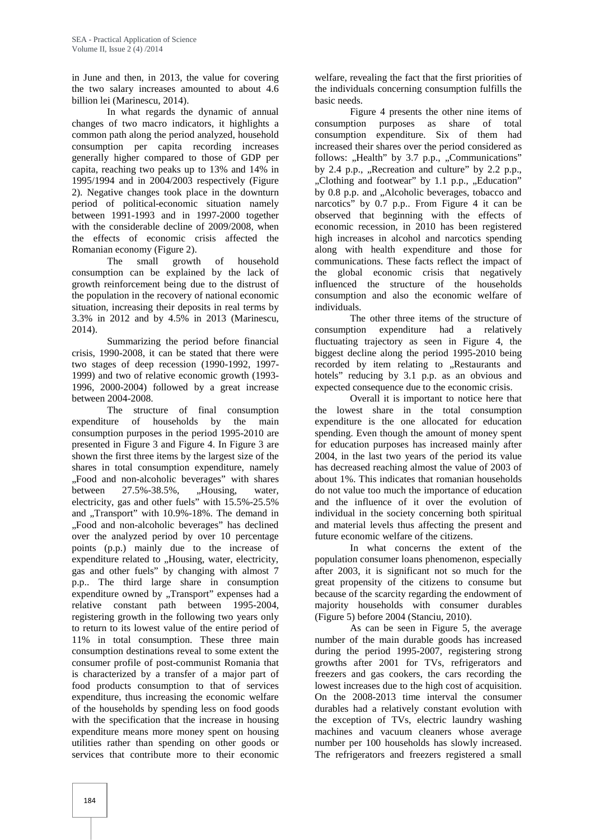in June and then, in 2013, the value for covering the two salary increases amounted to about 4.6 billion lei (Marinescu, 2014).

In what regards the dynamic of annual changes of two macro indicators, it highlights a common path along the period analyzed, household consumption per capita recording increases generally higher compared to those of GDP per capita, reaching two peaks up to 13% and 14% in 1995/1994 and in 2004/2003 respectively (Figure 2). Negative changes took place in the downturn period of political-economic situation namely between 1991-1993 and in 1997-2000 together with the considerable decline of 2009/2008, when the effects of economic crisis affected the Romanian economy (Figure 2).

The small growth of household consumption can be explained by the lack of growth reinforcement being due to the distrust of the population in the recovery of national economic situation, increasing their deposits in real terms by 3.3% in 2012 and by 4.5% in 2013 (Marinescu, 2014).

Summarizing the period before financial crisis, 1990-2008, it can be stated that there were two stages of deep recession (1990-1992, 1997- 1999) and two of relative economic growth (1993- 1996, 2000-2004) followed by a great increase between 2004-2008.

The structure of final consumption expenditure of households by the main consumption purposes in the period 1995-2010 are presented in Figure 3 and Figure 4. In Figure 3 are shown the first three items by the largest size of the shares in total consumption expenditure, namely "Food and non-alcoholic beverages" with shares between  $27.5\% - 38.5\%$ , ...Housing, water, electricity, gas and other fuels" with 15.5%-25.5% and "Transport" with 10.9%-18%. The demand in "Food and non-alcoholic beverages" has declined over the analyzed period by over 10 percentage points (p.p.) mainly due to the increase of expenditure related to "Housing, water, electricity, gas and other fuels" by changing with almost 7 p.p.. The third large share in consumption expenditure owned by "Transport" expenses had a relative constant path between 1995-2004, registering growth in the following two years only to return to its lowest value of the entire period of 11% in total consumption. These three main consumption destinations reveal to some extent the consumer profile of post-communist Romania that is characterized by a transfer of a major part of food products consumption to that of services expenditure, thus increasing the economic welfare of the households by spending less on food goods with the specification that the increase in housing expenditure means more money spent on housing utilities rather than spending on other goods or services that contribute more to their economic

welfare, revealing the fact that the first priorities of the individuals concerning consumption fulfills the basic needs.

Figure 4 presents the other nine items of consumption purposes as share of total consumption expenditure. Six of them had increased their shares over the period considered as follows: "Health" by 3.7 p.p., "Communications" by 2.4 p.p., "Recreation and culture" by 2.2 p.p., "Clothing and footwear" by 1.1 p.p., "Education" by 0.8 p.p. and "Alcoholic beverages, tobacco and narcotics" by 0.7 p.p.. From Figure 4 it can be observed that beginning with the effects of economic recession, in 2010 has been registered high increases in alcohol and narcotics spending along with health expenditure and those for communications. These facts reflect the impact of the global economic crisis that negatively influenced the structure of the households consumption and also the economic welfare of individuals.

The other three items of the structure of consumption expenditure had a relatively fluctuating trajectory as seen in Figure 4, the biggest decline along the period 1995-2010 being recorded by item relating to "Restaurants and hotels" reducing by 3.1 p.p. as an obvious and expected consequence due to the economic crisis.

Overall it is important to notice here that the lowest share in the total consumption expenditure is the one allocated for education spending. Even though the amount of money spent for education purposes has increased mainly after 2004, in the last two years of the period its value has decreased reaching almost the value of 2003 of about 1%. This indicates that romanian households do not value too much the importance of education and the influence of it over the evolution of individual in the society concerning both spiritual and material levels thus affecting the present and future economic welfare of the citizens.

In what concerns the extent of the population consumer loans phenomenon, especially after 2003, it is significant not so much for the great propensity of the citizens to consume but because of the scarcity regarding the endowment of majority households with consumer durables (Figure 5) before 2004 (Stanciu, 2010).

As can be seen in Figure 5, the average number of the main durable goods has increased during the period 1995-2007, registering strong growths after 2001 for TVs, refrigerators and freezers and gas cookers, the cars recording the lowest increases due to the high cost of acquisition. On the 2008-2013 time interval the consumer durables had a relatively constant evolution with the exception of TVs, electric laundry washing machines and vacuum cleaners whose average number per 100 households has slowly increased. The refrigerators and freezers registered a small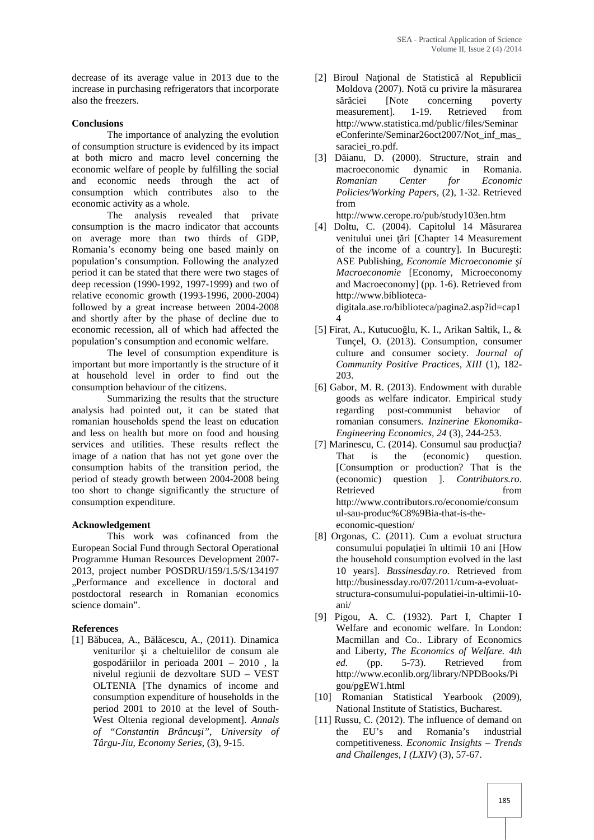decrease of its average value in 2013 due to the increase in purchasing refrigerators that incorporate also the freezers.

#### **Conclusions**

The importance of analyzing the evolution of consumption structure is evidenced by its impact at both micro and macro level concerning the economic welfare of people by fulfilling the social and economic needs through the act of consumption which contributes also to the economic activity as a whole.

The analysis revealed that private consumption is the macro indicator that accounts on average more than two thirds of GDP, Romania's economy being one based mainly on population's consumption. Following the analyzed period it can be stated that there were two stages of deep recession (1990-1992, 1997-1999) and two of relative economic growth (1993-1996, 2000-2004) followed by a great increase between 2004-2008 and shortly after by the phase of decline due to economic recession, all of which had affected the population's consumption and economic welfare.

The level of consumption expenditure is important but more importantly is the structure of it at household level in order to find out the consumption behaviour of the citizens.

Summarizing the results that the structure analysis had pointed out, it can be stated that romanian households spend the least on education and less on health but more on food and housing services and utilities. These results reflect the image of a nation that has not yet gone over the consumption habits of the transition period, the period of steady growth between 2004-2008 being too short to change significantly the structure of consumption expenditure.

# **Acknowledgement**

This work was cofinanced from the European Social Fund through Sectoral Operational Programme Human Resources Development 2007- 2013, project number POSDRU/159/1.5/S/134197 "Performance and excellence in doctoral and postdoctoral research in Romanian economics science domain".

# **References**

[1] B bucea, A., B  $\,$  cescu, A., (2011). Dinamica veniturilor i a cheltuielilor de consum ale gospod riilor in perioada  $2001 - 2010$ , la nivelul regiunii de dezvoltare SUD – VEST OLTENIA [The dynamics of income and consumption expenditure of households in the period 2001 to 2010 at the level of South- West Oltenia regional development]. *Annals of "Constantin Brâncuşi", University of Târgu-Jiu, Economy Series,* (3), 9-15.

- [2] Biroul Na ional de Statistic al Republicii Moldova (2007). Not cu privire la m surarea s r ciei [Note concerning poverty measurement]. 1-19. Retrieved from http://www.statistica.md/public/files/Seminar eConferinte/Seminar26oct2007/Not\_inf\_mas\_ saraciei\_ro.pdf.
- [3] D ianu, D. (2000). Structure, strain and macroeconomic dynamic in Romania. *Romanian Center for Economic Policies/Working Papers,* (2), 1-32. Retrieved from

http://www.cerope.ro/pub/study103en.htm

- $[4]$  Doltu, C. (2004). Capitolul 14 M surarea venitului unei ri [Chapter 14 Measurement of the income of a country]. In Bucure ti: ASE Publishing, *Economie Microeconomie i Macroeconomie* [Economy, Microeconomy and Macroeconomy] (pp. 1-6). Retrieved from http://www.biblioteca digitala.ase.ro/biblioteca/pagina2.asp?id=cap1 4
- [5] Firat, A., Kutucuo lu, K. I., Arikan Saltik, I.,  $\&$ Tunçel, O. (2013). Consumption, consumer culture and consumer society. *Journal of Community Positive Practices, XIII* (1), 182- 203.
- [6] Gabor, M. R. (2013). Endowment with durable goods as welfare indicator. Empirical study regarding post-communist behavior of romanian consumers. *Inzinerine Ekonomika- Engineering Economics, 24* (3), 244-253.
- [7] Marinescu, C.  $(2014)$ . Consumul sau produc ia? That is the (economic) question. [Consumption or production? That is the (economic) question ]. *Contributors.ro*. Retrieved from http://www.contributors.ro/economie/consum ul-sau-produc%C8%9Bia-that-is-the economic-question/
- [8] Orgonas, C. (2011). Cum a evoluat structura consumului popula iei în ultimii 10 ani [How the household consumption evolved in the last 10 years]. *Bussinesday.ro.* Retrieved from http://businessday.ro/07/2011/cum-a-evoluat structura-consumului-populatiei-in-ultimii-10 ani/
- [9] Pigou, A. C. (1932). Part I, Chapter I Welfare and economic welfare. In London: Macmillan and Co.. Library of Economics and Liberty, *The Economics of Welfare. 4th ed.* (pp. 5-73). Retrieved from http://www.econlib.org/library/NPDBooks/Pi gou/pgEW1.html
- [10] Romanian Statistical Yearbook (2009), National Institute of Statistics, Bucharest.
- [11] Russu, C. (2012). The influence of demand on the EU's and Romania's industrial competitiveness. *Economic Insights – Trends and Challenges, I (LXIV)* (3), 57-67.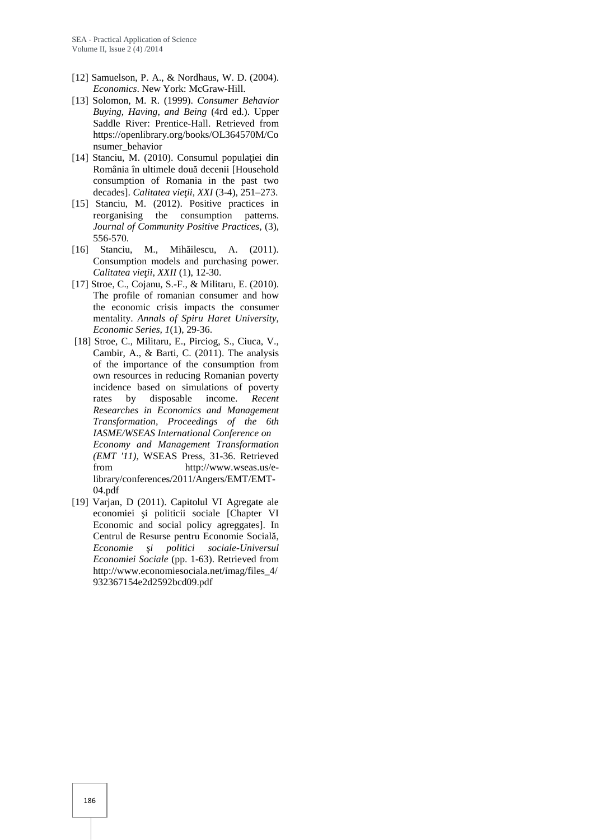- [12] Samuelson, P. A., & Nordhaus, W. D. (2004). *Economics*. New York: McGraw-Hill.
- [13] Solomon, M. R. (1999). *Consumer Behavior Buying, Having, and Being* (4rd ed.). Upper Saddle River: Prentice-Hall. Retrieved from https://openlibrary.org/books/OL364570M/Co nsumer\_behavior
- [14] Stanciu, M. (2010). Consumul popula iei din România în ultimele dou decenii [Household consumption of Romania in the past two decades]. *Calitatea vie ii, XXI* (3-4), 251–273.
- [15] Stanciu, M. (2012). Positive practices in reorganising the consumption patterns. *Journal of Community Positive Practices,* (3), 556-570.
- [16] Stanciu, M., Mih ilescu, A. (2011). Consumption models and purchasing power. *Calitatea vie ii, XXII* (1), 12-30.
- [17] Stroe, C., Cojanu, S.-F., & Militaru, E. (2010). The profile of romanian consumer and how the economic crisis impacts the consumer mentality. *Annals of Spiru Haret University, Economic Series, 1*(1), 29-36.
- [18] Stroe, C., Militaru, E., Pirciog, S., Ciuca, V., Cambir, A., & Barti, C. (2011). The analysis of the importance of the consumption from own resources in reducing Romanian poverty incidence based on simulations of poverty rates by disposable income. *Recent Researches in Economics and Management Transformation, Proceedings of the 6th IASME/WSEAS International Conference on Economy and Management Transformation (EMT '11),* WSEAS Press*,* 31-36. Retrieved from http://www.wseas.us/elibrary/conferences/2011/Angers/EMT/EMT- 04.pdf
- [19] Varjan, D (2011). Capitolul VI Agregate ale economiei i politicii sociale [Chapter VI Economic and social policy agreggates]. In Centrul de Resurse pentru Economie Socială*,*  $E$ conomie i politici sociale-Universul *Economiei Sociale* (pp. 1-63). Retrieved from http://www.economiesociala.net/imag/files\_4/ 932367154e2d2592bcd09.pdf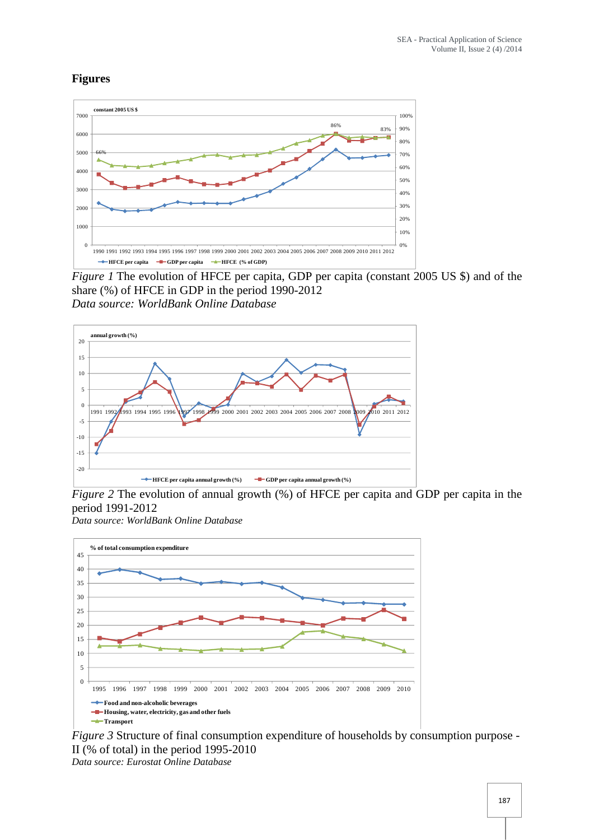# **Figures**



*Figure 1* The evolution of HFCE per capita, GDP per capita (constant 2005 US \$) and of the share (%) of HFCE in GDP in the period 1990-2012 *Data source: WorldBank Online Database*



*Figure* 2 The evolution of annual growth (%) of HFCE per capita and GDP per capita in the period 1991-2012 *Data source: WorldBank Online Database*



*Figure 3* Structure of final consumption expenditure of households by consumption purpose - II (% of total) in the period 1995-2010 *Data source: Eurostat Online Database*